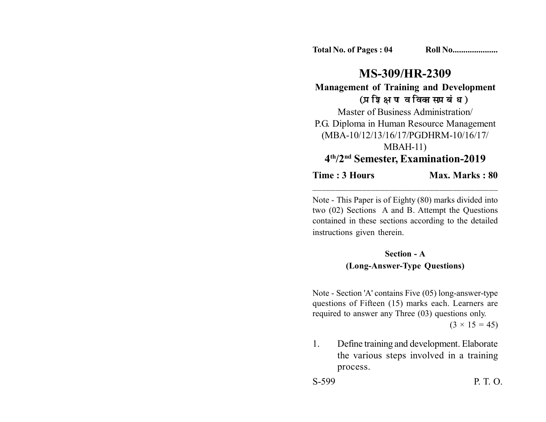**Total No. of Pages : 04 Roll No....................** 

# **MS-309/HR-2309**

**Management of Training and Development** (प्रशिक्षण व विकास प्रबंध)

Master of Business Administration/ P.G. Diploma in Human Resource Management (MBA-10/12/13/16/17/PGDHRM-10/16/17/ MBAH-11) **4th/2nd Semester, Examination-2019**

**Time : 3 Hours Max. Marks : 80** \_\_\_\_\_\_\_\_\_\_\_\_\_\_\_\_\_\_\_\_\_\_\_\_\_\_\_\_\_\_\_\_\_\_\_\_\_\_\_\_\_

Note - This Paper is of Eighty (80) marks divided into two (02) Sections A and B. Attempt the Questions contained in these sections according to the detailed instructions given therein.

### **Section - A (Long-Answer-Type Questions)**

Note - Section 'A' contains Five (05) long-answer-type questions of Fifteen (15) marks each. Learners are required to answer any Three (03) questions only.  $(3 \times 15 = 45)$ 

1. Define training and development. Elaborate the various steps involved in a training process.

S-599 P. T. O.